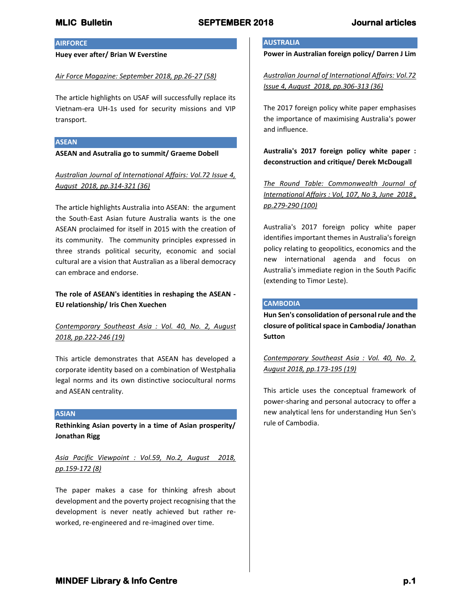## **AIRFORCE**

**Huey ever after/ Brian W Everstine**

### *Air Force Magazine: September 2018, pp.26-27 (58)*

The article highlights on USAF will successfully replace its Vietnam-era UH-1s used for security missions and VIP transport.

### **ASEAN**

**ASEAN and Asutralia go to summit/ Graeme Dobell**

*Australian Journal of International Affairs: Vol.72 Issue 4, August 2018, pp.314-321 (36)*

The article highlights Australia into ASEAN: the argument the South-East Asian future Australia wants is the one ASEAN proclaimed for itself in 2015 with the creation of its community. The community principles expressed in three strands political security, economic and social cultural are a vision that Australian as a liberal democracy can embrace and endorse.

# **The role of ASEAN's identities in reshaping the ASEAN - EU relationship/ Iris Chen Xuechen**

# *Contemporary Southeast Asia : Vol. 40, No. 2, August 2018, pp.222-246 (19)*

This article demonstrates that ASEAN has developed a corporate identity based on a combination of Westphalia legal norms and its own distinctive sociocultural norms and ASEAN centrality.

## **ASIAN**

**Rethinking Asian poverty in a time of Asian prosperity/ Jonathan Rigg**

*Asia Pacific Viewpoint : Vol.59, No.2, August 2018, pp.159-172 (8)*

The paper makes a case for thinking afresh about development and the poverty project recognising that the development is never neatly achieved but rather reworked, re-engineered and re-imagined over time.

## **AUSTRALIA**

**Power in Australian foreign policy/ Darren J Lim**

*Australian Journal of International Affairs: Vol.72 Issue 4, August 2018, pp.306-313 (36)*

The 2017 foreign policy white paper emphasises the importance of maximising Australia's power and influence.

**Australia's 2017 foreign policy white paper : deconstruction and critique/ Derek McDougall**

*The Round Table: Commonwealth Journal of International Affairs : Vol, 107, No 3, June 2018 , pp.279-290 (100)*

Australia's 2017 foreign policy white paper identifies important themes in Australia's foreign policy relating to geopolitics, economics and the new international agenda and focus on Australia's immediate region in the South Pacific (extending to Timor Leste).

### **CAMBODIA**

**Hun Sen's consolidation of personal rule and the closure of political space in Cambodia/ Jonathan Sutton**

*Contemporary Southeast Asia : Vol. 40, No. 2, August 2018, pp.173-195 (19)*

This article uses the conceptual framework of power-sharing and personal autocracy to offer a new analytical lens for understanding Hun Sen's rule of Cambodia.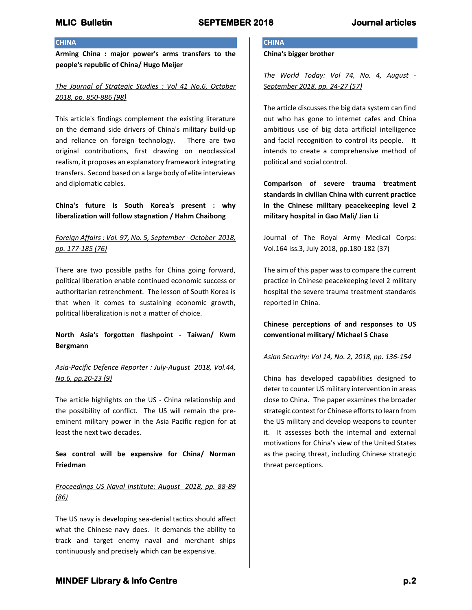## **CHINA**

**Arming China : major power's arms transfers to the people's republic of China/ Hugo Meijer**

## *The Journal of Strategic Studies : Vol 41 No.6, October 2018, pp. 850-886 (98)*

This article's findings complement the existing literature on the demand side drivers of China's military build-up and reliance on foreign technology. There are two original contributions, first drawing on neoclassical realism, it proposes an explanatory framework integrating transfers. Second based on a large body of elite interviews and diplomatic cables.

## **China's future is South Korea's present : why liberalization will follow stagnation / Hahm Chaibong**

# *Foreign Affairs : Vol. 97, No. 5, September - October 2018, pp. 177-185 (76)*

There are two possible paths for China going forward, political liberation enable continued economic success or authoritarian retrenchment. The lesson of South Korea is that when it comes to sustaining economic growth, political liberalization is not a matter of choice.

# **North Asia's forgotten flashpoint - Taiwan/ Kwm Bergmann**

# *Asia-Pacific Defence Reporter : July-August 2018, Vol.44, No.6, pp.20-23 (9)*

The article highlights on the US - China relationship and the possibility of conflict. The US will remain the preeminent military power in the Asia Pacific region for at least the next two decades.

# **Sea control will be expensive for China/ Norman Friedman**

# *Proceedings US Naval Institute: August 2018, pp. 88-89 (86)*

The US navy is developing sea-denial tactics should affect what the Chinese navy does. It demands the ability to track and target enemy naval and merchant ships continuously and precisely which can be expensive.

# **CHINA**

**China's bigger brother**

*The World Today: Vol 74, No. 4, August - September 2018, pp. 24-27 (57)*

The article discusses the big data system can find out who has gone to internet cafes and China ambitious use of big data artificial intelligence and facial recognition to control its people. It intends to create a comprehensive method of political and social control.

**Comparison of severe trauma treatment standards in civilian China with current practice in the Chinese military peacekeeping level 2 military hospital in Gao Mali/ Jian Li**

Journal of The Royal Army Medical Corps: Vol.164 Iss.3, July 2018, pp.180-182 (37)

The aim of this paper was to compare the current practice in Chinese peacekeeping level 2 military hospital the severe trauma treatment standards reported in China.

**Chinese perceptions of and responses to US conventional military/ Michael S Chase**

### *Asian Security: Vol 14, No. 2, 2018, pp. 136-154*

China has developed capabilities designed to deter to counter US military intervention in areas close to China. The paper examines the broader strategic context for Chinese efforts to learn from the US military and develop weapons to counter it. It assesses both the internal and external motivations for China's view of the United States as the pacing threat, including Chinese strategic threat perceptions.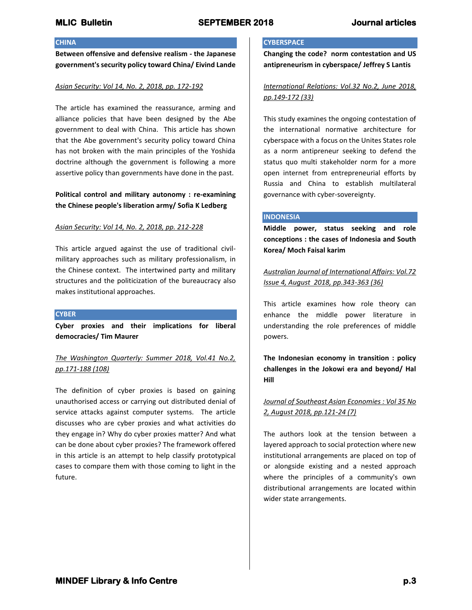## **CHINA**

**Between offensive and defensive realism - the Japanese government's security policy toward China/ Eivind Lande**

## *Asian Security: Vol 14, No. 2, 2018, pp. 172-192*

The article has examined the reassurance, arming and alliance policies that have been designed by the Abe government to deal with China. This article has shown that the Abe government's security policy toward China has not broken with the main principles of the Yoshida doctrine although the government is following a more assertive policy than governments have done in the past.

## **Political control and military autonomy : re-examining the Chinese people's liberation army/ Sofia K Ledberg**

## *Asian Security: Vol 14, No. 2, 2018, pp. 212-228*

This article argued against the use of traditional civilmilitary approaches such as military professionalism, in the Chinese context. The intertwined party and military structures and the politicization of the bureaucracy also makes institutional approaches.

### **CYBER**

**Cyber proxies and their implications for liberal democracies/ Tim Maurer**

## *The Washington Quarterly: Summer 2018, Vol.41 No.2, pp.171-188 (108)*

The definition of cyber proxies is based on gaining unauthorised access or carrying out distributed denial of service attacks against computer systems. The article discusses who are cyber proxies and what activities do they engage in? Why do cyber proxies matter? And what can be done about cyber proxies? The framework offered in this article is an attempt to help classify prototypical cases to compare them with those coming to light in the future.

## **CYBERSPACE**

**Changing the code? norm contestation and US antipreneurism in cyberspace/ Jeffrey S Lantis**

# *International Relations: Vol.32 No.2, June 2018, pp.149-172 (33)*

This study examines the ongoing contestation of the international normative architecture for cyberspace with a focus on the Unites States role as a norm antipreneur seeking to defend the status quo multi stakeholder norm for a more open internet from entrepreneurial efforts by Russia and China to establish multilateral governance with cyber-sovereignty.

## **INDONESIA**

**Middle power, status seeking and role conceptions : the cases of Indonesia and South Korea/ Moch Faisal karim**

*Australian Journal of International Affairs: Vol.72 Issue 4, August 2018, pp.343-363 (36)*

This article examines how role theory can enhance the middle power literature in understanding the role preferences of middle powers.

**The Indonesian economy in transition : policy challenges in the Jokowi era and beyond/ Hal Hill**

## *Journal of Southeast Asian Economies : Vol 35 No 2, August 2018, pp.121-24 (7)*

The authors look at the tension between a layered approach to social protection where new institutional arrangements are placed on top of or alongside existing and a nested approach where the principles of a community's own distributional arrangements are located within wider state arrangements.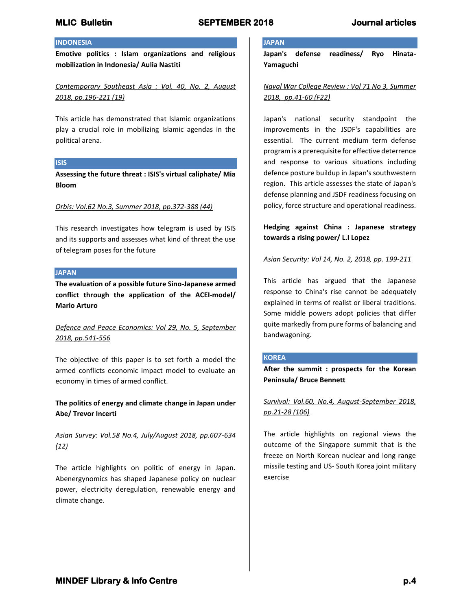## **INDONESIA**

**Emotive politics : Islam organizations and religious mobilization in Indonesia/ Aulia Nastiti**

*Contemporary Southeast Asia : Vol. 40, No. 2, August 2018, pp.196-221 (19)*

This article has demonstrated that Islamic organizations play a crucial role in mobilizing Islamic agendas in the political arena.

### **ISIS**

**Assessing the future threat : ISIS's virtual caliphate/ Mia Bloom**

## *Orbis: Vol.62 No.3, Summer 2018, pp.372-388 (44)*

This research investigates how telegram is used by ISIS and its supports and assesses what kind of threat the use of telegram poses for the future

## **JAPAN**

**The evaluation of a possible future Sino-Japanese armed conflict through the application of the ACEI-model/ Mario Arturo**

# *Defence and Peace Economics: Vol 29, No. 5, September 2018, pp.541-556*

The objective of this paper is to set forth a model the armed conflicts economic impact model to evaluate an economy in times of armed conflict.

**The politics of energy and climate change in Japan under Abe/ Trevor Incerti**

## *Asian Survey: Vol.58 No.4, July/August 2018, pp.607-634 (12)*

The article highlights on politic of energy in Japan. Abenergynomics has shaped Japanese policy on nuclear power, electricity deregulation, renewable energy and climate change.

## **JAPAN**

**Japan's defense readiness/ Ryo Hinata-Yamaguchi**

*Naval War College Review : Vol 71 No 3, Summer 2018, pp.41-60 (F22)*

Japan's national security standpoint the improvements in the JSDF's capabilities are essential. The current medium term defense program is a prerequisite for effective deterrence and response to various situations including defence posture buildup in Japan's southwestern region. This article assesses the state of Japan's defense planning and JSDF readiness focusing on policy, force structure and operational readiness.

**Hedging against China : Japanese strategy towards a rising power/ L.I Lopez**

## *Asian Security: Vol 14, No. 2, 2018, pp. 199-211*

This article has argued that the Japanese response to China's rise cannot be adequately explained in terms of realist or liberal traditions. Some middle powers adopt policies that differ quite markedly from pure forms of balancing and bandwagoning.

### **KOREA**

**After the summit : prospects for the Korean Peninsula/ Bruce Bennett**

*Survival: Vol.60, No.4, August-September 2018, pp.21-28 (106)*

The article highlights on regional views the outcome of the Singapore summit that is the freeze on North Korean nuclear and long range missile testing and US- South Korea joint military exercise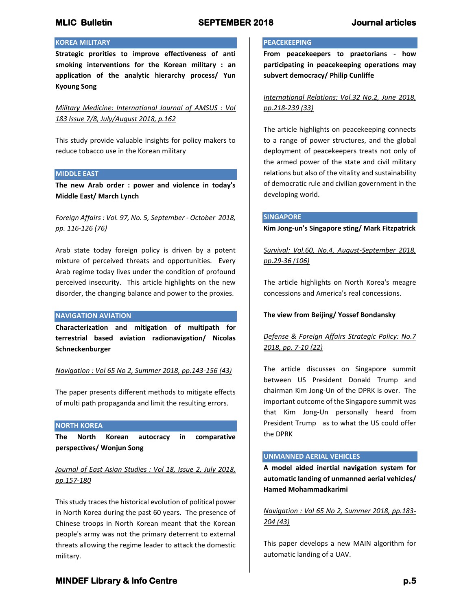## **KOREA MILITARY**

**Strategic prorities to improve effectiveness of anti smoking interventions for the Korean military : an application of the analytic hierarchy process/ Yun Kyoung Song**

*Military Medicine: International Journal of AMSUS : Vol 183 Issue 7/8, July/August 2018, p.162*

This study provide valuable insights for policy makers to reduce tobacco use in the Korean military

### **MIDDLE EAST**

**The new Arab order : power and violence in today's Middle East/ March Lynch** 

## *Foreign Affairs : Vol. 97, No. 5, September - October 2018, pp. 116-126 (76)*

Arab state today foreign policy is driven by a potent mixture of perceived threats and opportunities. Every Arab regime today lives under the condition of profound perceived insecurity. This article highlights on the new disorder, the changing balance and power to the proxies.

### **NAVIGATION AVIATION**

**Characterization and mitigation of multipath for terrestrial based aviation radionavigation/ Nicolas Schneckenburger**

*Navigation : Vol 65 No 2, Summer 2018, pp.143-156 (43)*

The paper presents different methods to mitigate effects of multi path propaganda and limit the resulting errors.

### **NORTH KOREA**

**The North Korean autocracy in comparative perspectives/ Wonjun Song**

*Journal of East Asian Studies : Vol 18, Issue 2, July 2018, pp.157-180*

This study traces the historical evolution of political power in North Korea during the past 60 years. The presence of Chinese troops in North Korean meant that the Korean people's army was not the primary deterrent to external threats allowing the regime leader to attack the domestic military.

### **PEACEKEEPING**

**From peacekeepers to praetorians - how participating in peacekeeping operations may subvert democracy/ Philip Cunliffe**

*International Relations: Vol.32 No.2, June 2018, pp.218-239 (33)*

The article highlights on peacekeeping connects to a range of power structures, and the global deployment of peacekeepers treats not only of the armed power of the state and civil military relations but also of the vitality and sustainability of democratic rule and civilian government in the developing world.

### **SINGAPORE**

**Kim Jong-un's Singapore sting/ Mark Fitzpatrick**

*Survival: Vol.60, No.4, August-September 2018, pp.29-36 (106)*

The article highlights on North Korea's meagre concessions and America's real concessions.

### **The view from Beijing/ Yossef Bondansky**

# *Defense & Foreign Affairs Strategic Policy: No.7 2018, pp. 7-10 (22)*

The article discusses on Singapore summit between US President Donald Trump and chairman Kim Jong-Un of the DPRK is over. The important outcome of the Singapore summit was that Kim Jong-Un personally heard from President Trump as to what the US could offer the DPRK

### **UNMANNED AERIAL VEHICLES**

**A model aided inertial navigation system for automatic landing of unmanned aerial vehicles/ Hamed Mohammadkarimi** 

*Navigation : Vol 65 No 2, Summer 2018, pp.183- 204 (43)*

This paper develops a new MAIN algorithm for automatic landing of a UAV.

# **MINDEF Library & Info Centre** *p.5* $p.5$